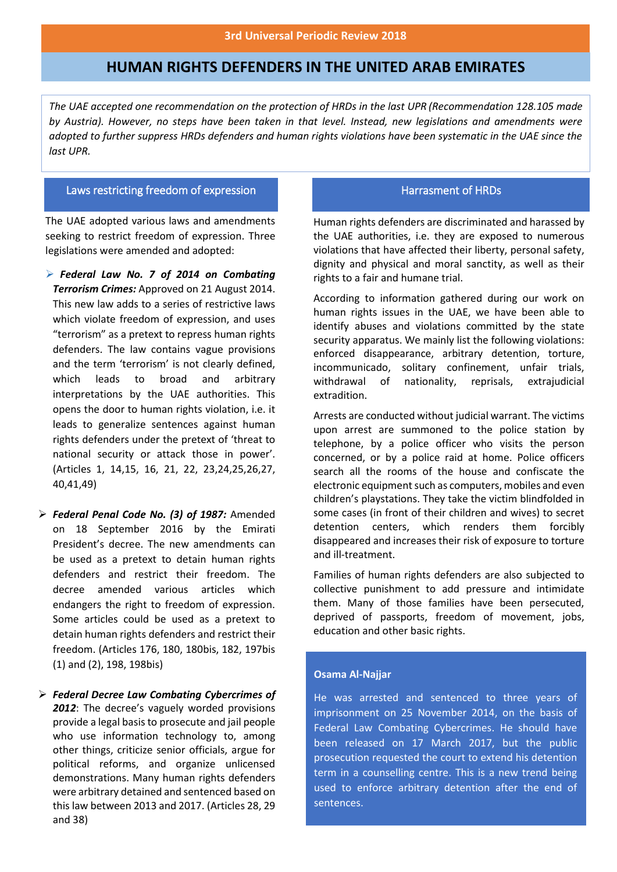# **HUMAN RIGHTS DEFENDERS IN THE UNITED ARAB EMIRATES**

*The UAE accepted one recommendation on the protection of HRDs in the last UPR (Recommendation 128.105 made by Austria). However, no steps have been taken in that level. Instead, new legislations and amendments were adopted to further suppress HRDs defenders and human rights violations have been systematic in the UAE since the last UPR.* 

### Laws restricting freedom of expression

 The UAE adopted various laws and amendments seeking to restrict freedom of expression. Three legislations were amended and adopted:

- ➢ *Federal Law No. 7 of 2014 on Combating Terrorism Crimes:* Approved on 21 August 2014. This new law adds to a series of restrictive laws which violate freedom of expression, and uses "terrorism" as a pretext to repress human rights defenders. The law contains vague provisions and the term 'terrorism' is not clearly defined, which leads to broad and arbitrary interpretations by the UAE authorities. This opens the door to human rights violation, i.e. it leads to generalize sentences against human rights defenders under the pretext of 'threat to national security or attack those in power'. (Articles 1, 14,15, 16, 21, 22, 23,24,25,26,27, 40,41,49)
- ➢ *Federal Penal Code No. (3) of 1987:* Amended on 18 September 2016 by the Emirati President's decree. The new amendments can be used as a pretext to detain human rights defenders and restrict their freedom. The decree amended various articles which endangers the right to freedom of expression. Some articles could be used as a pretext to detain human rights defenders and restrict their freedom. (Articles 176, 180, 180bis, 182, 197bis (1) and (2), 198, 198bis)
- ➢ *Federal Decree Law Combating Cybercrimes of 2012*: The decree's vaguely worded provisions provide a legal basis to prosecute and jail people who use information technology to, among other things, criticize senior officials, argue for political reforms, and organize unlicensed demonstrations. Many human rights defenders were arbitrary detained and sentenced based on this law between 2013 and 2017. (Articles 28, 29 and 38)

## Harrasment of HRDs

Human rights defenders are discriminated and harassed by the UAE authorities, i.e. they are exposed to numerous violations that have affected their liberty, personal safety, dignity and physical and moral sanctity, as well as their rights to a fair and humane trial.

According to information gathered during our work on human rights issues in the UAE, we have been able to identify abuses and violations committed by the state security apparatus. We mainly list the following violations: enforced disappearance, arbitrary detention, torture, incommunicado, solitary confinement, unfair trials, withdrawal of nationality, reprisals, extrajudicial extradition.

Arrests are conducted without judicial warrant. The victims upon arrest are summoned to the police station by telephone, by a police officer who visits the person concerned, or by a police raid at home. Police officers search all the rooms of the house and confiscate the electronic equipment such as computers, mobiles and even children's playstations. They take the victim blindfolded in some cases (in front of their children and wives) to secret detention centers, which renders them forcibly disappeared and increases their risk of exposure to torture and ill-treatment.

Families of human rights defenders are also subjected to collective punishment to add pressure and intimidate them. Many of those families have been persecuted, deprived of passports, freedom of movement, jobs, education and other basic rights.

### **Osama Al-Najjar**

He was arrested and sentenced to three years of imprisonment on 25 November 2014, on the basis of Federal Law Combating Cybercrimes. He should have been released on 17 March 2017, but the public prosecution requested the court to extend his detention term in a counselling centre. This is a new trend being used to enforce arbitrary detention after the end of sentences.